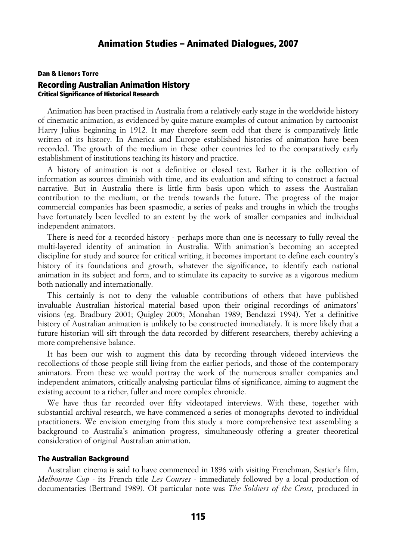### Dan & Lienors Torre Recording Australian Animation History Critical Significance of Historical Research

Animation has been practised in Australia from a relatively early stage in the worldwide history of cinematic animation, as evidenced by quite mature examples of cutout animation by cartoonist Harry Julius beginning in 1912. It may therefore seem odd that there is comparatively little written of its history. In America and Europe established histories of animation have been recorded. The growth of the medium in these other countries led to the comparatively early establishment of institutions teaching its history and practice.

A history of animation is not a definitive or closed text. Rather it is the collection of information as sources diminish with time, and its evaluation and sifting to construct a factual narrative. But in Australia there is little firm basis upon which to assess the Australian contribution to the medium, or the trends towards the future. The progress of the major commercial companies has been spasmodic, a series of peaks and troughs in which the troughs have fortunately been levelled to an extent by the work of smaller companies and individual independent animators.

There is need for a recorded history - perhaps more than one is necessary to fully reveal the multi-layered identity of animation in Australia. With animation's becoming an accepted discipline for study and source for critical writing, it becomes important to define each country's history of its foundations and growth, whatever the significance, to identify each national animation in its subject and form, and to stimulate its capacity to survive as a vigorous medium both nationally and internationally.

This certainly is not to deny the valuable contributions of others that have published invaluable Australian historical material based upon their original recordings of animators' visions (eg. Bradbury 2001; Quigley 2005; Monahan 1989; Bendazzi 1994). Yet a definitive history of Australian animation is unlikely to be constructed immediately. It is more likely that a future historian will sift through the data recorded by different researchers, thereby achieving a more comprehensive balance.

It has been our wish to augment this data by recording through videoed interviews the recollections of those people still living from the earlier periods, and those of the contemporary animators. From these we would portray the work of the numerous smaller companies and independent animators, critically analysing particular films of significance, aiming to augment the existing account to a richer, fuller and more complex chronicle.

We have thus far recorded over fifty videotaped interviews. With these, together with substantial archival research, we have commenced a series of monographs devoted to individual practitioners. We envision emerging from this study a more comprehensive text assembling a background to Australia's animation progress, simultaneously offering a greater theoretical consideration of original Australian animation.

#### The Australian Background

Australian cinema is said to have commenced in 1896 with visiting Frenchman, Sestier's film, *Melbourne Cup -* its French title *Les Courses -* immediately followed by a local production of documentaries (Bertrand 1989). Of particular note was *The Soldiers of the Cross,* produced in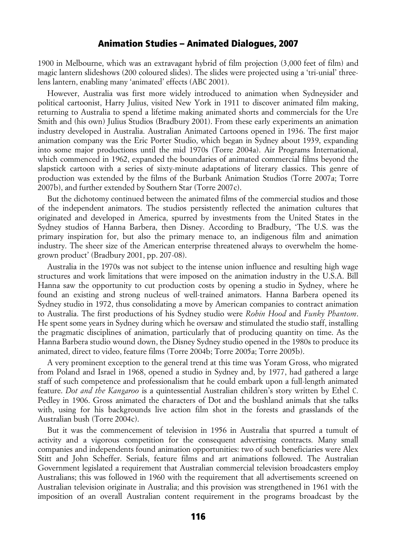1900 in Melbourne, which was an extravagant hybrid of film projection (3,000 feet of film) and magic lantern slideshows (200 coloured slides). The slides were projected using a 'tri-unial' threelens lantern, enabling many 'animated' effects (ABC 2001).

However, Australia was first more widely introduced to animation when Sydneysider and political cartoonist, Harry Julius, visited New York in 1911 to discover animated film making, returning to Australia to spend a lifetime making animated shorts and commercials for the Ure Smith and (his own) Julius Studios (Bradbury 2001). From these early experiments an animation industry developed in Australia. Australian Animated Cartoons opened in 1936. The first major animation company was the Eric Porter Studio, which began in Sydney about 1939, expanding into some major productions until the mid 1970s (Torre 2004a). Air Programs International, which commenced in 1962, expanded the boundaries of animated commercial films beyond the slapstick cartoon with a series of sixty-minute adaptations of literary classics. This genre of production was extended by the films of the Burbank Animation Studios (Torre 2007a; Torre 2007b), and further extended by Southern Star (Torre 2007c).

But the dichotomy continued between the animated films of the commercial studios and those of the independent animators. The studios persistently reflected the animation cultures that originated and developed in America, spurred by investments from the United States in the Sydney studios of Hanna Barbera, then Disney. According to Bradbury, 'The U.S. was the primary inspiration for, but also the primary menace to, an indigenous film and animation industry. The sheer size of the American enterprise threatened always to overwhelm the homegrown product' (Bradbury 2001, pp. 207-08).

Australia in the 1970s was not subject to the intense union influence and resulting high wage structures and work limitations that were imposed on the animation industry in the U.S.A. Bill Hanna saw the opportunity to cut production costs by opening a studio in Sydney, where he found an existing and strong nucleus of well-trained animators. Hanna Barbera opened its Sydney studio in 1972, thus consolidating a move by American companies to contract animation to Australia. The first productions of his Sydney studio were *Robin Hood* and *Funky Phantom*. He spent some years in Sydney during which he oversaw and stimulated the studio staff, installing the pragmatic disciplines of animation, particularly that of producing quantity on time. As the Hanna Barbera studio wound down, the Disney Sydney studio opened in the 1980s to produce its animated, direct to video, feature films (Torre 2004b; Torre 2005a; Torre 2005b).

A very prominent exception to the general trend at this time was Yoram Gross, who migrated from Poland and Israel in 1968, opened a studio in Sydney and, by 1977, had gathered a large staff of such competence and professionalism that he could embark upon a full-length animated feature. *Dot and the Kangaroo* is a quintessential Australian children's story written by Ethel C. Pedley in 1906. Gross animated the characters of Dot and the bushland animals that she talks with, using for his backgrounds live action film shot in the forests and grasslands of the Australian bush (Torre 2004c).

But it was the commencement of television in 1956 in Australia that spurred a tumult of activity and a vigorous competition for the consequent advertising contracts. Many small companies and independents found animation opportunities: two of such beneficiaries were Alex Stitt and John Scheffer. Serials, feature films and art animations followed. The Australian Government legislated a requirement that Australian commercial television broadcasters employ Australians; this was followed in 1960 with the requirement that all advertisements screened on Australian television originate in Australia; and this provision was strengthened in 1961 with the imposition of an overall Australian content requirement in the programs broadcast by the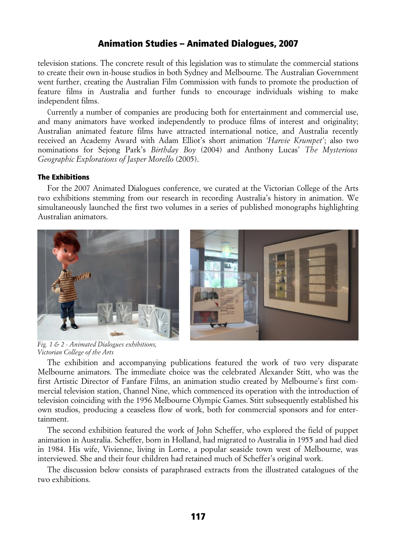television stations. The concrete result of this legislation was to stimulate the commercial stations to create their own in-house studios in both Sydney and Melbourne. The Australian Government went further, creating the Australian Film Commission with funds to promote the production of feature films in Australia and further funds to encourage individuals wishing to make independent films.

Currently a number of companies are producing both for entertainment and commercial use, and many animators have worked independently to produce films of interest and originality; Australian animated feature films have attracted international notice, and Australia recently received an Academy Award with Adam Elliot's short animation *'Harvie Krumpet'*; also two nominations for Sejong Park's *Birthday Boy* (2004) and Anthony Lucas' *The Mysterious Geographic Explorations of Jasper Morello* (2005).

#### The Exhibitions

For the 2007 Animated Dialogues conference, we curated at the Victorian College of the Arts two exhibitions stemming from our research in recording Australia's history in animation. We simultaneously launched the first two volumes in a series of published monographs highlighting Australian animators.



*Fig. 1 & 2 - Animated Dialogues exhibitions, Victorian College of the Arts*

The exhibition and accompanying publications featured the work of two very disparate Melbourne animators. The immediate choice was the celebrated Alexander Stitt, who was the first Artistic Director of Fanfare Films, an animation studio created by Melbourne's first commercial television station, Channel Nine, which commenced its operation with the introduction of television coinciding with the 1956 Melbourne Olympic Games. Stitt subsequently established his own studios, producing a ceaseless flow of work, both for commercial sponsors and for entertainment.

The second exhibition featured the work of John Scheffer, who explored the field of puppet animation in Australia. Scheffer, born in Holland, had migrated to Australia in 1955 and had died in 1984. His wife, Vivienne, living in Lorne, a popular seaside town west of Melbourne, was interviewed. She and their four children had retained much of Scheffer's original work.

The discussion below consists of paraphrased extracts from the illustrated catalogues of the two exhibitions.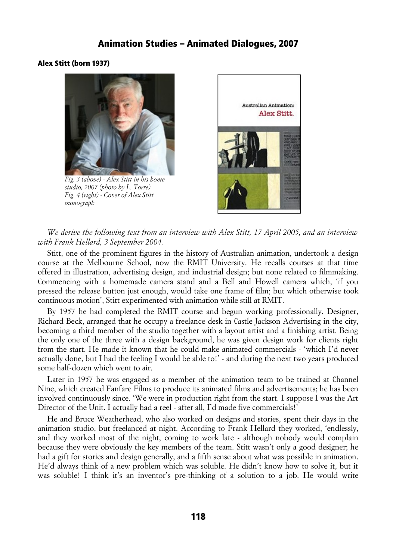### Alex Stitt (born 1937)



*Fig. 3 (above) - Alex Stitt in his home studio, 2007 (photo by L. Torre) Fig. 4 (right) - Cover of Alex Stitt monograph*



*We derive the following text from an interview with Alex Stitt, 17 April 2005, and an interview with Frank Hellard, 3 September 2004.*

Stitt, one of the prominent figures in the history of Australian animation, undertook a design course at the Melbourne School, now the RMIT University. He recalls courses at that time offered in illustration, advertising design, and industrial design; but none related to filmmaking. Commencing with a homemade camera stand and a Bell and Howell camera which, 'if you pressed the release button just enough, would take one frame of film; but which otherwise took continuous motion', Stitt experimented with animation while still at RMIT.

By 1957 he had completed the RMIT course and begun working professionally. Designer, Richard Beck, arranged that he occupy a freelance desk in Castle Jackson Advertising in the city, becoming a third member of the studio together with a layout artist and a finishing artist. Being the only one of the three with a design background, he was given design work for clients right from the start. He made it known that he could make animated commercials - 'which I'd never actually done, but I had the feeling I would be able to!' - and during the next two years produced some half-dozen which went to air.

Later in 1957 he was engaged as a member of the animation team to be trained at Channel Nine, which created Fanfare Films to produce its animated films and advertisements; he has been involved continuously since. 'We were in production right from the start. I suppose I was the Art Director of the Unit. I actually had a reel - after all, I'd made five commercials!'

He and Bruce Weatherhead, who also worked on designs and stories, spent their days in the animation studio, but freelanced at night. According to Frank Hellard they worked, 'endlessly, and they worked most of the night, coming to work late - although nobody would complain because they were obviously the key members of the team. Stitt wasn't only a good designer; he had a gift for stories and design generally, and a fifth sense about what was possible in animation. He'd always think of a new problem which was soluble. He didn't know how to solve it, but it was soluble! I think it's an inventor's pre-thinking of a solution to a job. He would write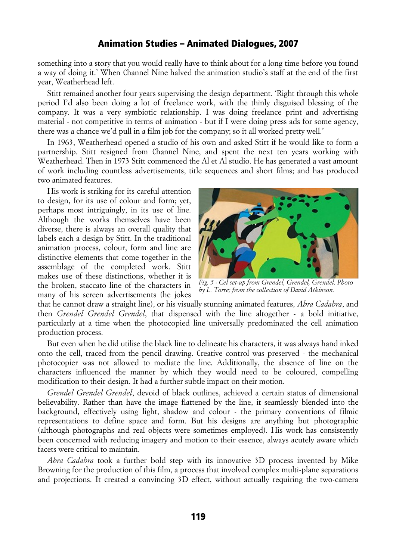something into a story that you would really have to think about for a long time before you found a way of doing it.' When Channel Nine halved the animation studio's staff at the end of the first year, Weatherhead left.

Stitt remained another four years supervising the design department. 'Right through this whole period I'd also been doing a lot of freelance work, with the thinly disguised blessing of the company. It was a very symbiotic relationship. I was doing freelance print and advertising material - not competitive in terms of animation - but if I were doing press ads for some agency, there was a chance we'd pull in a film job for the company; so it all worked pretty well.'

In 1963, Weatherhead opened a studio of his own and asked Stitt if he would like to form a partnership. Stitt resigned from Channel Nine, and spent the next ten years working with Weatherhead. Then in 1973 Stitt commenced the Al et Al studio. He has generated a vast amount of work including countless advertisements, title sequences and short films; and has produced two animated features.

His work is striking for its careful attention to design, for its use of colour and form; yet, perhaps most intriguingly, in its use of line. Although the works themselves have been diverse, there is always an overall quality that labels each a design by Stitt. In the traditional animation process, colour, form and line are distinctive elements that come together in the assemblage of the completed work. Stitt makes use of these distinctions, whether it is the broken, staccato line of the characters in many of his screen advertisements (he jokes



*Fig. 5 - Cel set-up from Grendel, Grendel, Grendel. Photo by L. Torre; from the collection of David Atkinson.*

that he cannot draw a straight line), or his visually stunning animated features, *Abra Cadabra*, and then *Grendel Grendel Grendel*, that dispensed with the line altogether - a bold initiative, particularly at a time when the photocopied line universally predominated the cell animation production process.

But even when he did utilise the black line to delineate his characters, it was always hand inked onto the cell, traced from the pencil drawing. Creative control was preserved - the mechanical photocopier was not allowed to mediate the line. Additionally, the absence of line on the characters influenced the manner by which they would need to be coloured, compelling modification to their design. It had a further subtle impact on their motion.

*Grendel Grendel Grendel*, devoid of black outlines, achieved a certain status of dimensional believability. Rather than have the image flattened by the line, it seamlessly blended into the background, effectively using light, shadow and colour - the primary conventions of filmic representations to define space and form. But his designs are anything but photographic (although photographs and real objects were sometimes employed). His work has consistently been concerned with reducing imagery and motion to their essence, always acutely aware which facets were critical to maintain.

*Abra Cadabra* took a further bold step with its innovative 3D process invented by Mike Browning for the production of this film, a process that involved complex multi-plane separations and projections. It created a convincing 3D effect, without actually requiring the two-camera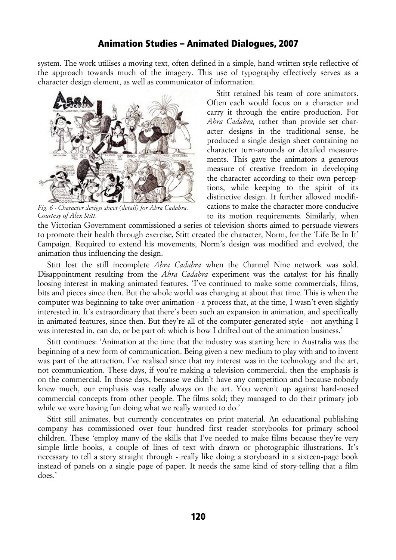system. The work utilises a moving text, often defined in a simple, hand-written style reflective of the approach towards much of the imagery. This use of typography effectively serves as a character design element, as well as communicator of information.



*Fig. 6 - Character design sheet (detail) for Abra Cadabra. Courtesy of Alex Stitt.*

Stitt retained his team of core animators. Often each would focus on a character and carry it through the entire production. For *Abra Cadabra,* rather than provide set character designs in the traditional sense, he produced a single design sheet containing no character turn-arounds or detailed measurements. This gave the animators a generous measure of creative freedom in developing the character according to their own perceptions, while keeping to the spirit of its distinctive design. It further allowed modifications to make the character more conducive to its motion requirements. Similarly, when

the Victorian Government commissioned a series of television shorts aimed to persuade viewers to promote their health through exercise, Stitt created the character, Norm, for the 'Life Be In It' Campaign. Required to extend his movements, Norm's design was modified and evolved, the animation thus influencing the design.

Stitt lost the still incomplete *Abra Cadabra* when the Channel Nine network was sold. Disappointment resulting from the *Abra Cadabra* experiment was the catalyst for his finally loosing interest in making animated features. 'I've continued to make some commercials, films, bits and pieces since then. But the whole world was changing at about that time. This is when the computer was beginning to take over animation - a process that, at the time, I wasn't even slightly interested in. It's extraordinary that there's been such an expansion in animation, and specifically in animated features, since then. But they're all of the computer-generated style - not anything I was interested in, can do, or be part of: which is how I drifted out of the animation business.'

Stitt continues: 'Animation at the time that the industry was starting here in Australia was the beginning of a new form of communication. Being given a new medium to play with and to invent was part of the attraction. I've realised since that my interest was in the technology and the art, not communication. These days, if you're making a television commercial, then the emphasis is on the commercial. In those days, because we didn't have any competition and because nobody knew much, our emphasis was really always on the art. You weren't up against hard-nosed commercial concepts from other people. The films sold; they managed to do their primary job while we were having fun doing what we really wanted to do.'

Stitt still animates, but currently concentrates on print material. An educational publishing company has commissioned over four hundred first reader storybooks for primary school children. These 'employ many of the skills that I've needed to make films because they're very simple little books, a couple of lines of text with drawn or photographic illustrations. It's necessary to tell a story straight through - really like doing a storyboard in a sixteen-page book instead of panels on a single page of paper. It needs the same kind of story-telling that a film does.'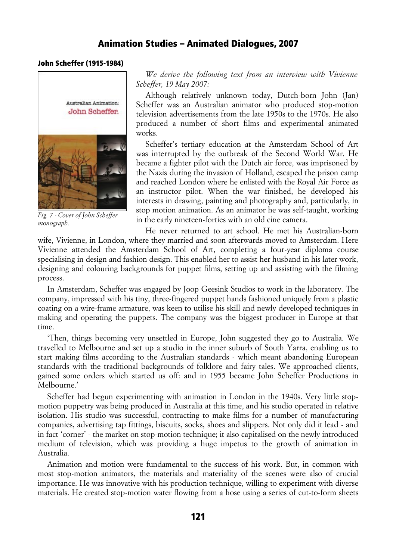#### John Scheffer (1915-1984)



*Fig. 7 - Cover of John Scheffer monograph.*

*We derive the following text from an interview with Vivienne Scheffer, 19 May 2007:*

Although relatively unknown today, Dutch-born John (Jan) Scheffer was an Australian animator who produced stop-motion television advertisements from the late 1950s to the 1970s. He also produced a number of short films and experimental animated works.

Scheffer's tertiary education at the Amsterdam School of Art was interrupted by the outbreak of the Second World War. He became a fighter pilot with the Dutch air force, was imprisoned by the Nazis during the invasion of Holland, escaped the prison camp and reached London where he enlisted with the Royal Air Force as an instructor pilot. When the war finished, he developed his interests in drawing, painting and photography and, particularly, in stop motion animation. As an animator he was self-taught, working in the early nineteen-forties with an old cine camera.

He never returned to art school. He met his Australian-born wife, Vivienne, in London, where they married and soon afterwards moved to Amsterdam. Here Vivienne attended the Amsterdam School of Art, completing a four-year diploma course specialising in design and fashion design. This enabled her to assist her husband in his later work, designing and colouring backgrounds for puppet films, setting up and assisting with the filming process.

In Amsterdam, Scheffer was engaged by Joop Geesink Studios to work in the laboratory. The company, impressed with his tiny, three-fingered puppet hands fashioned uniquely from a plastic coating on a wire-frame armature, was keen to utilise his skill and newly developed techniques in making and operating the puppets. The company was the biggest producer in Europe at that time.

'Then, things becoming very unsettled in Europe, John suggested they go to Australia. We travelled to Melbourne and set up a studio in the inner suburb of South Yarra, enabling us to start making films according to the Australian standards - which meant abandoning European standards with the traditional backgrounds of folklore and fairy tales. We approached clients, gained some orders which started us off: and in 1955 became John Scheffer Productions in Melbourne.'

Scheffer had begun experimenting with animation in London in the 1940s. Very little stopmotion puppetry was being produced in Australia at this time, and his studio operated in relative isolation. His studio was successful, contracting to make films for a number of manufacturing companies, advertising tap fittings, biscuits, socks, shoes and slippers. Not only did it lead - and in fact 'corner' - the market on stop-motion technique; it also capitalised on the newly introduced medium of television, which was providing a huge impetus to the growth of animation in Australia.

Animation and motion were fundamental to the success of his work. But, in common with most stop-motion animators, the materials and materiality of the scenes were also of crucial importance. He was innovative with his production technique, willing to experiment with diverse materials. He created stop-motion water flowing from a hose using a series of cut-to-form sheets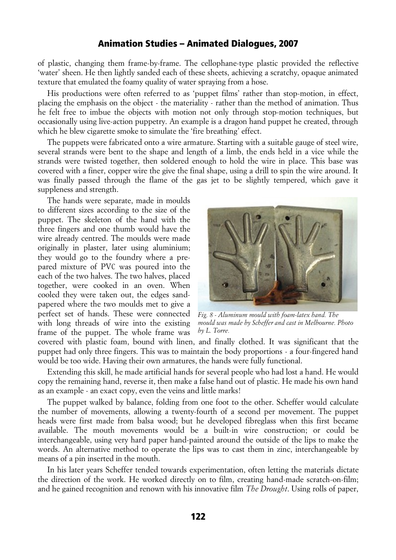of plastic, changing them frame-by-frame. The cellophane-type plastic provided the reflective 'water' sheen. He then lightly sanded each of these sheets, achieving a scratchy, opaque animated texture that emulated the foamy quality of water spraying from a hose.

His productions were often referred to as 'puppet films' rather than stop-motion, in effect, placing the emphasis on the object - the materiality - rather than the method of animation. Thus he felt free to imbue the objects with motion not only through stop-motion techniques, but occasionally using live-action puppetry. An example is a dragon hand puppet he created, through which he blew cigarette smoke to simulate the 'fire breathing' effect.

The puppets were fabricated onto a wire armature. Starting with a suitable gauge of steel wire, several strands were bent to the shape and length of a limb, the ends held in a vice while the strands were twisted together, then soldered enough to hold the wire in place. This base was covered with a finer, copper wire the give the final shape, using a drill to spin the wire around. It was finally passed through the flame of the gas jet to be slightly tempered, which gave it suppleness and strength.

The hands were separate, made in moulds to different sizes according to the size of the puppet. The skeleton of the hand with the three fingers and one thumb would have the wire already centred. The moulds were made originally in plaster, later using aluminium; they would go to the foundry where a prepared mixture of PVC was poured into the each of the two halves. The two halves, placed together, were cooked in an oven. When cooled they were taken out, the edges sandpapered where the two moulds met to give a perfect set of hands. These were connected with long threads of wire into the existing frame of the puppet. The whole frame was



*Fig. 8 - Aluminum mould with foam-latex hand. The mould was made by Scheffer and cast in Melbourne. Photo by L. Torre.*

covered with plastic foam, bound with linen, and finally clothed. It was significant that the puppet had only three fingers. This was to maintain the body proportions - a four-fingered hand would be too wide. Having their own armatures, the hands were fully functional.

Extending this skill, he made artificial hands for several people who had lost a hand. He would copy the remaining hand, reverse it, then make a false hand out of plastic. He made his own hand as an example - an exact copy, even the veins and little marks!

The puppet walked by balance, folding from one foot to the other. Scheffer would calculate the number of movements, allowing a twenty-fourth of a second per movement. The puppet heads were first made from balsa wood; but he developed fibreglass when this first became available. The mouth movements would be a built-in wire construction; or could be interchangeable, using very hard paper hand-painted around the outside of the lips to make the words. An alternative method to operate the lips was to cast them in zinc, interchangeable by means of a pin inserted in the mouth.

In his later years Scheffer tended towards experimentation, often letting the materials dictate the direction of the work. He worked directly on to film, creating hand-made scratch-on-film; and he gained recognition and renown with his innovative film *The Drought*. Using rolls of paper,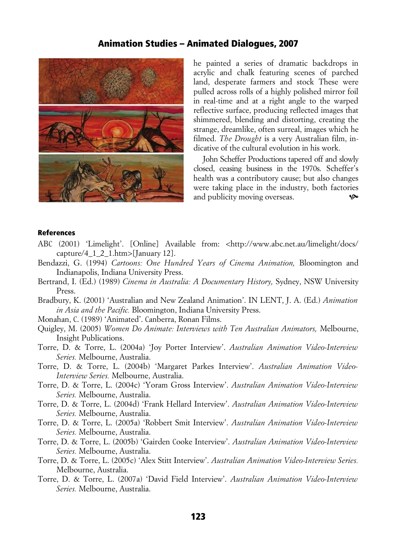

he painted a series of dramatic backdrops in acrylic and chalk featuring scenes of parched land, desperate farmers and stock These were pulled across rolls of a highly polished mirror foil in real-time and at a right angle to the warped reflective surface, producing reflected images that shimmered, blending and distorting, creating the strange, dreamlike, often surreal, images which he filmed. *The Drought* is a very Australian film, indicative of the cultural evolution in his work.

John Scheffer Productions tapered off and slowly closed, ceasing business in the 1970s. Scheffer's health was a contributory cause; but also changes were taking place in the industry, both factories and publicity moving overseas.

#### References

- ABC (2001) 'Limelight'. [Online] Available from: <http://www.abc.net.au/limelight/docs/ capture/4\_1\_2\_1.htm>[January 12].
- Bendazzi, G. (1994) *Cartoons: One Hundred Years of Cinema Animation,* Bloomington and Indianapolis, Indiana University Press.
- Bertrand, I. (Ed.) (1989) *Cinema in Australia: A Documentary History,* Sydney, NSW University Press.
- Bradbury, K. (2001) 'Australian and New Zealand Animation'. IN LENT, J. A. (Ed.) *Animation in Asia and the Pacific.* Bloomington, Indiana University Press.
- Monahan, C. (1989) 'Animated'. Canberra, Ronan Films.
- Quigley, M. (2005) *Women Do Animate: Interviews with Ten Australian Animators,* Melbourne, Insight Publications.
- Torre, D. & Torre, L. (2004a) 'Joy Porter Interview'. *Australian Animation Video-Interview Series.* Melbourne, Australia.
- Torre, D. & Torre, L. (2004b) 'Margaret Parkes Interview'. *Australian Animation Video-Interview Series.* Melbourne, Australia.
- Torre, D. & Torre, L. (2004c) 'Yoram Gross Interview'. *Australian Animation Video-Interview Series.* Melbourne, Australia.
- Torre, D. & Torre, L. (2004d) 'Frank Hellard Interview'. *Australian Animation Video-Interview Series.* Melbourne, Australia.
- Torre, D. & Torre, L. (2005a) 'Robbert Smit Interview'. *Australian Animation Video-Interview Series.* Melbourne, Australia.
- Torre, D. & Torre, L. (2005b) 'Gairden Cooke Interview'. *Australian Animation Video-Interview Series.* Melbourne, Australia.
- Torre, D. & Torre, L. (2005c) 'Alex Stitt Interview'. *Australian Animation Video-Interview Series.* Melbourne, Australia.
- Torre, D. & Torre, L. (2007a) 'David Field Interview'. *Australian Animation Video-Interview Series.* Melbourne, Australia.